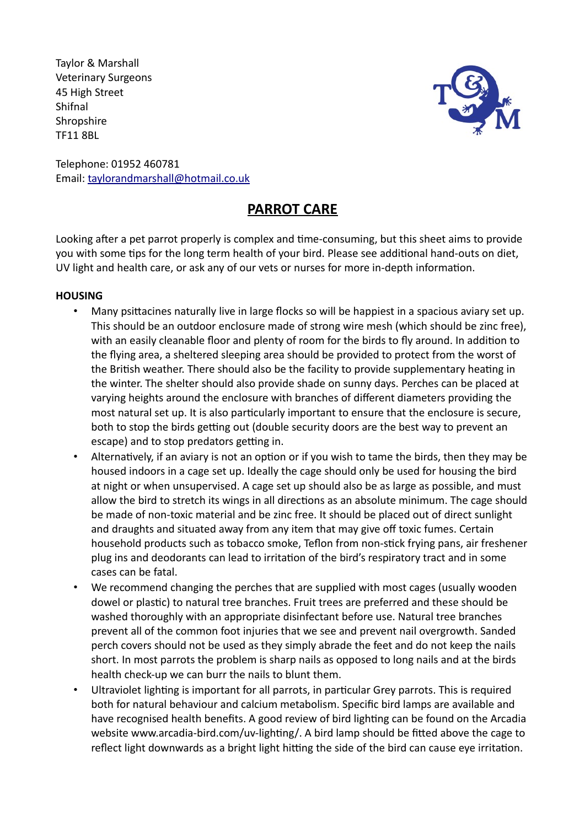Taylor & Marshall Veterinary Surgeons 45 High Street Shifnal **Shropshire** TF11 8BL



Telephone: 01952 460781 Email: taylorandmarshall@hotmail.co.uk

# **PARROT CARE**

Looking after a pet parrot properly is complex and time-consuming, but this sheet aims to provide you with some tips for the long term health of your bird. Please see additional hand-outs on diet, UV light and health care, or ask any of our vets or nurses for more in-depth information.

### **HOUSING**

- Many psittacines naturally live in large flocks so will be happiest in a spacious aviary set up. This should be an outdoor enclosure made of strong wire mesh (which should be zinc free), with an easily cleanable floor and plenty of room for the birds to fly around. In addition to the flying area, a sheltered sleeping area should be provided to protect from the worst of the British weather. There should also be the facility to provide supplementary heating in the winter. The shelter should also provide shade on sunny days. Perches can be placed at varying heights around the enclosure with branches of different diameters providing the most natural set up. It is also particularly important to ensure that the enclosure is secure, both to stop the birds getting out (double security doors are the best way to prevent an escape) and to stop predators getting in.
- Alternatively, if an aviary is not an option or if you wish to tame the birds, then they may be housed indoors in a cage set up. Ideally the cage should only be used for housing the bird at night or when unsupervised. A cage set up should also be as large as possible, and must allow the bird to stretch its wings in all directions as an absolute minimum. The cage should be made of non-toxic material and be zinc free. It should be placed out of direct sunlight and draughts and situated away from any item that may give off toxic fumes. Certain household products such as tobacco smoke, Teflon from non-stick frying pans, air freshener plug ins and deodorants can lead to irritation of the bird's respiratory tract and in some cases can be fatal.
- We recommend changing the perches that are supplied with most cages (usually wooden dowel or plastic) to natural tree branches. Fruit trees are preferred and these should be washed thoroughly with an appropriate disinfectant before use. Natural tree branches prevent all of the common foot injuries that we see and prevent nail overgrowth. Sanded perch covers should not be used as they simply abrade the feet and do not keep the nails short. In most parrots the problem is sharp nails as opposed to long nails and at the birds health check-up we can burr the nails to blunt them.
- Ultraviolet lighting is important for all parrots, in particular Grey parrots. This is required both for natural behaviour and calcium metabolism. Specific bird lamps are available and have recognised health benefits. A good review of bird lighting can be found on the Arcadia website www.arcadia-bird.com/uv-lighting/. A bird lamp should be fitted above the cage to reflect light downwards as a bright light hitting the side of the bird can cause eye irritation.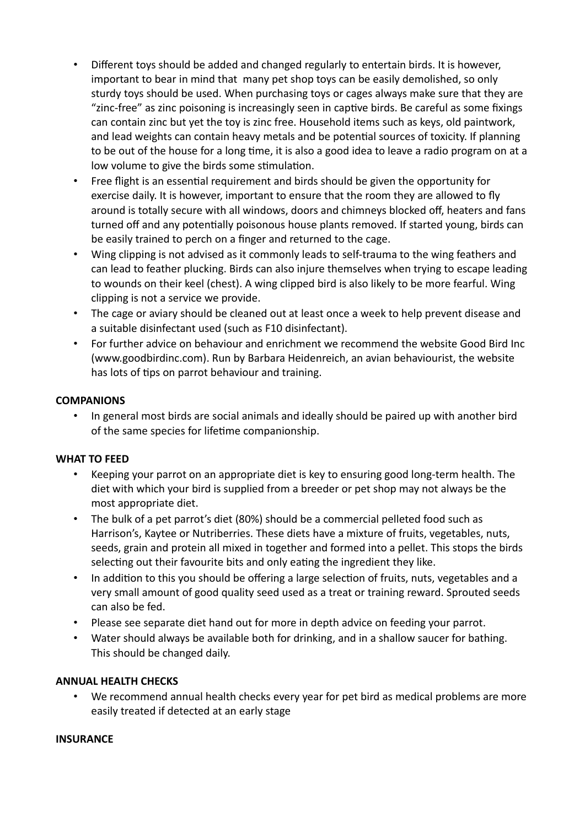- Different toys should be added and changed regularly to entertain birds. It is however, important to bear in mind that many pet shop toys can be easily demolished, so only sturdy toys should be used. When purchasing toys or cages always make sure that they are "zinc-free" as zinc poisoning is increasingly seen in captive birds. Be careful as some fixings can contain zinc but yet the toy is zinc free. Household items such as keys, old paintwork, and lead weights can contain heavy metals and be potential sources of toxicity. If planning to be out of the house for a long time, it is also a good idea to leave a radio program on at a low volume to give the birds some stimulation.
- Free flight is an essential requirement and birds should be given the opportunity for exercise daily. It is however, important to ensure that the room they are allowed to fly around is totally secure with all windows, doors and chimneys blocked off, heaters and fans turned off and any potentially poisonous house plants removed. If started young, birds can be easily trained to perch on a finger and returned to the cage.
- Wing clipping is not advised as it commonly leads to self-trauma to the wing feathers and can lead to feather plucking. Birds can also injure themselves when trying to escape leading to wounds on their keel (chest). A wing clipped bird is also likely to be more fearful. Wing clipping is not a service we provide.
- The cage or aviary should be cleaned out at least once a week to help prevent disease and a suitable disinfectant used (such as F10 disinfectant).
- For further advice on behaviour and enrichment we recommend the website Good Bird Inc (www.goodbirdinc.com). Run by Barbara Heidenreich, an avian behaviourist, the website has lots of tips on parrot behaviour and training.

#### **COMPANIONS**

• In general most birds are social animals and ideally should be paired up with another bird of the same species for lifetime companionship.

### **WHAT TO FEED**

- Keeping your parrot on an appropriate diet is key to ensuring good long-term health. The diet with which your bird is supplied from a breeder or pet shop may not always be the most appropriate diet.
- The bulk of a pet parrot's diet (80%) should be a commercial pelleted food such as Harrison's, Kaytee or Nutriberries. These diets have a mixture of fruits, vegetables, nuts, seeds, grain and protein all mixed in together and formed into a pellet. This stops the birds selecting out their favourite bits and only eating the ingredient they like.
- In addition to this you should be offering a large selection of fruits, nuts, vegetables and a very small amount of good quality seed used as a treat or training reward. Sprouted seeds can also be fed.
- Please see separate diet hand out for more in depth advice on feeding your parrot.
- Water should always be available both for drinking, and in a shallow saucer for bathing. This should be changed daily.

### **ANNUAL HEALTH CHECKS**

• We recommend annual health checks every year for pet bird as medical problems are more easily treated if detected at an early stage

#### **INSURANCE**